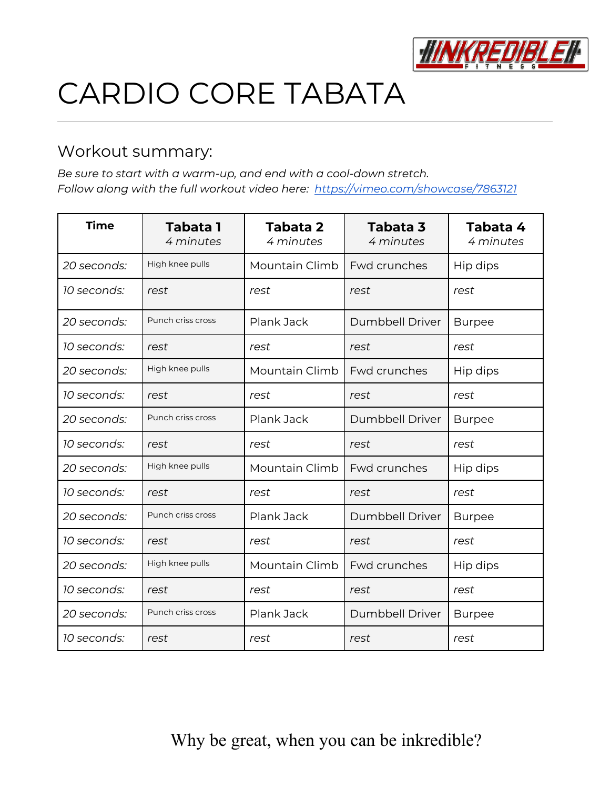

# CARDIO CORE TABATA

### Workout summary:

*Be sure to start with a warm-up, and end with a cool-down stretch. Follow along with the full workout video here: <https://vimeo.com/showcase/7863121>*

| <b>Time</b> | <b>Tabata 1</b><br>4 minutes | <b>Tabata 2</b><br>4 minutes | Tabata 3<br>4 minutes  | Tabata 4<br>4 minutes |
|-------------|------------------------------|------------------------------|------------------------|-----------------------|
| 20 seconds: | High knee pulls              | Mountain Climb               | Fwd crunches           | Hip dips              |
| 10 seconds: | rest                         | rest                         | rest                   | rest                  |
| 20 seconds: | Punch criss cross            | Plank Jack                   | <b>Dumbbell Driver</b> | <b>Burpee</b>         |
| 10 seconds: | rest                         | rest                         | rest                   | rest                  |
| 20 seconds: | High knee pulls              | Mountain Climb               | Fwd crunches           | Hip dips              |
| 10 seconds: | rest                         | rest                         | rest                   | rest                  |
| 20 seconds: | Punch criss cross            | Plank Jack                   | Dumbbell Driver        | <b>Burpee</b>         |
| 10 seconds: | rest                         | rest                         | rest                   | rest                  |
| 20 seconds: | High knee pulls              | Mountain Climb               | <b>Fwd crunches</b>    | Hip dips              |
| 10 seconds: | rest                         | rest                         | rest                   | rest                  |
| 20 seconds: | Punch criss cross            | Plank Jack                   | <b>Dumbbell Driver</b> | <b>Burpee</b>         |
| 10 seconds: | rest                         | rest                         | rest                   | rest                  |
| 20 seconds: | High knee pulls              | Mountain Climb               | <b>Fwd crunches</b>    | Hip dips              |
| 10 seconds: | rest                         | rest                         | rest                   | rest                  |
| 20 seconds: | Punch criss cross            | Plank Jack                   | <b>Dumbbell Driver</b> | <b>Burpee</b>         |
| 10 seconds: | rest                         | rest                         | rest                   | rest                  |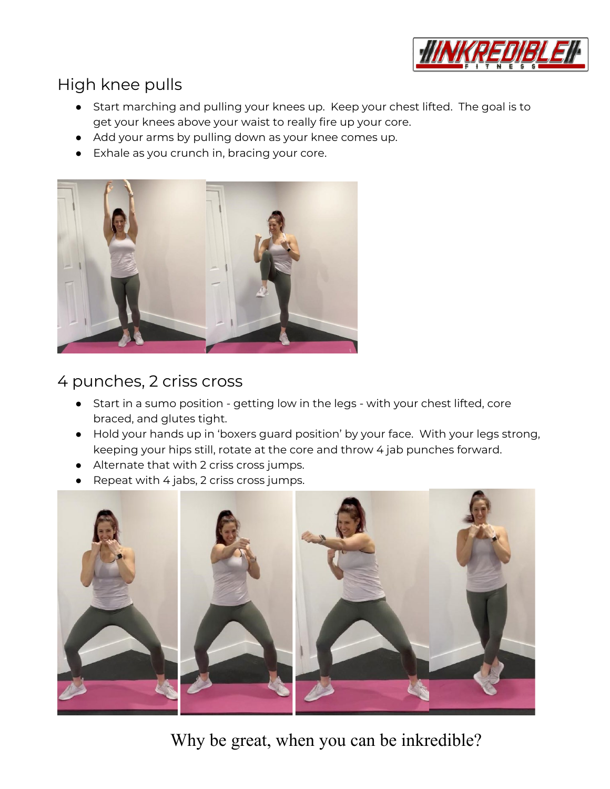

# High knee pulls

- Start marching and pulling your knees up. Keep your chest lifted. The goal is to get your knees above your waist to really fire up your core.
- Add your arms by pulling down as your knee comes up.
- Exhale as you crunch in, bracing your core.



# 4 punches, 2 criss cross

- Start in a sumo position getting low in the legs with your chest lifted, core braced, and glutes tight.
- Hold your hands up in 'boxers guard position' by your face. With your legs strong, keeping your hips still, rotate at the core and throw 4 jab punches forward.
- Alternate that with 2 criss cross jumps.
- Repeat with 4 jabs, 2 criss cross jumps.

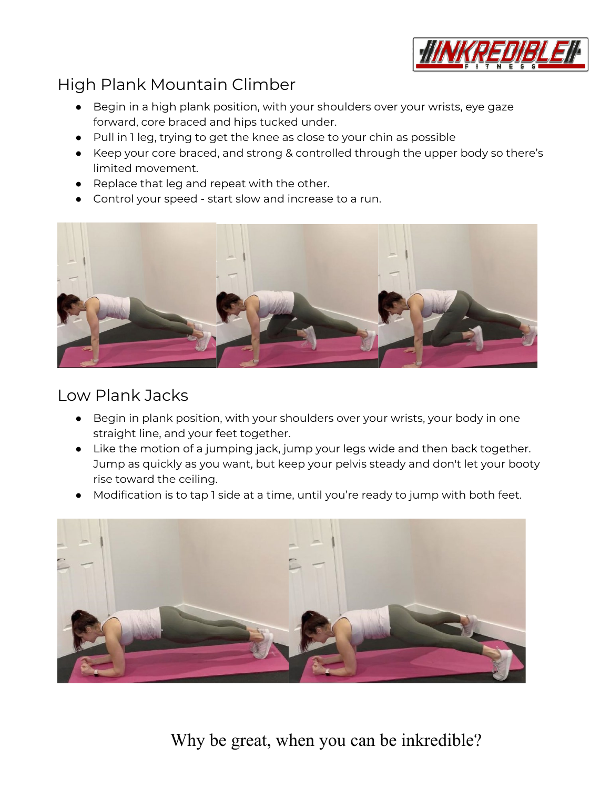

## High Plank Mountain Climber

- Begin in a high plank position, with your shoulders over your wrists, eye gaze forward, core braced and hips tucked under.
- Pull in 1 leg, trying to get the knee as close to your chin as possible
- Keep your core braced, and strong & controlled through the upper body so there's limited movement.
- Replace that leg and repeat with the other.
- Control your speed start slow and increase to a run.



#### Low Plank Jacks

- Begin in plank position, with your shoulders over your wrists, your body in one straight line, and your feet together.
- Like the motion of a jumping jack, jump your legs wide and then back together. Jump as quickly as you want, but keep your pelvis steady and don't let your booty rise toward the ceiling.
- Modification is to tap 1 side at a time, until you're ready to jump with both feet.

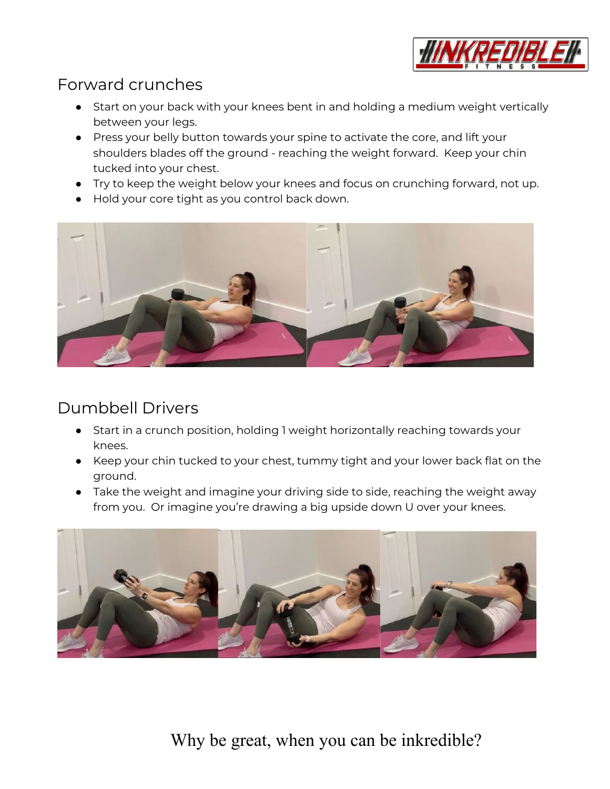

## Forward crunches

- Start on your back with your knees bent in and holding a medium weight vertically between your legs.
- Press your belly button towards your spine to activate the core, and lift your shoulders blades off the ground - reaching the weight forward. Keep your chin tucked into your chest.
- Try to keep the weight below your knees and focus on crunching forward, not up.
- Hold your core tight as you control back down.



## Dumbbell Drivers

- Start in a crunch position, holding 1 weight horizontally reaching towards your knees.
- Keep your chin tucked to your chest, tummy tight and your lower back flat on the ground.
- Take the weight and imagine your driving side to side, reaching the weight away from you. Or imagine you're drawing a big upside down U over your knees.